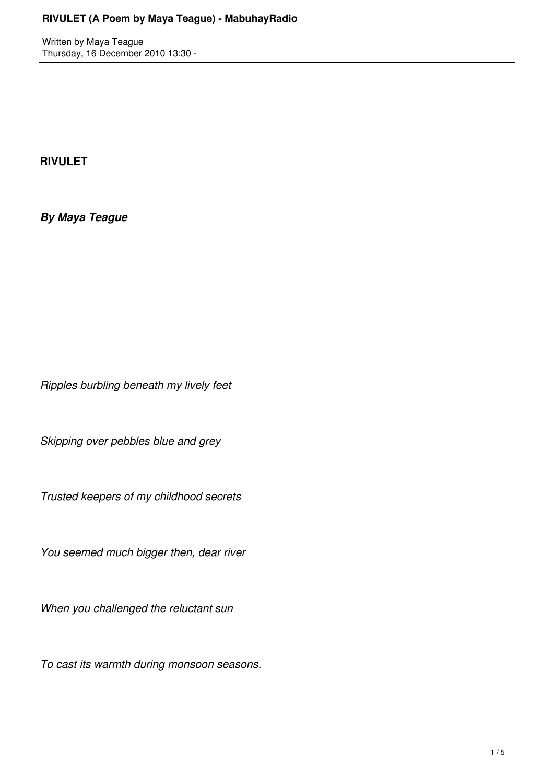Written by Maya Teague Thursday, 16 December 2010 13:30 -

## **RIVULET**

*By Maya Teague*

*Ripples burbling beneath my lively feet*

*Skipping over pebbles blue and grey*

*Trusted keepers of my childhood secrets*

*You seemed much bigger then, dear river*

*When you challenged the reluctant sun*

*To cast its warmth during monsoon seasons.*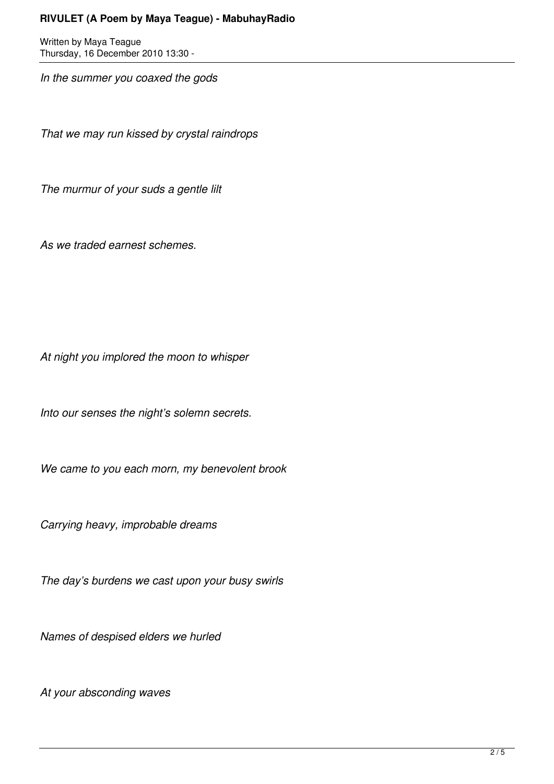Written by Maya Teague Thursday, 16 December 2010 13:30 -

*In the summer you coaxed the gods*

*That we may run kissed by crystal raindrops*

*The murmur of your suds a gentle lilt*

*As we traded earnest schemes.*

*At night you implored the moon to whisper*

*Into our senses the night's solemn secrets.*

*We came to you each morn, my benevolent brook*

*Carrying heavy, improbable dreams*

*The day's burdens we cast upon your busy swirls*

*Names of despised elders we hurled*

*At your absconding waves*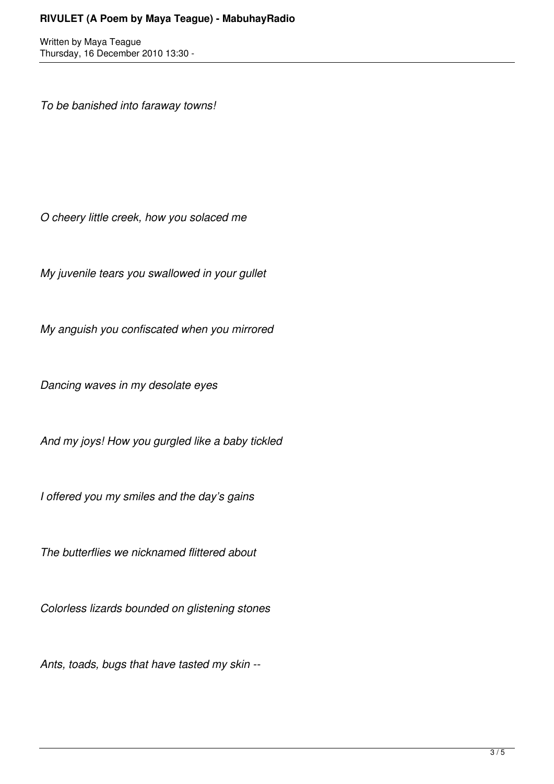Written by Maya Teague Thursday, 16 December 2010 13:30 -

*To be banished into faraway towns!*

*O cheery little creek, how you solaced me*

*My juvenile tears you swallowed in your gullet*

*My anguish you confiscated when you mirrored*

*Dancing waves in my desolate eyes*

*And my joys! How you gurgled like a baby tickled*

*I offered you my smiles and the day's gains*

*The butterflies we nicknamed flittered about*

*Colorless lizards bounded on glistening stones*

*Ants, toads, bugs that have tasted my skin --*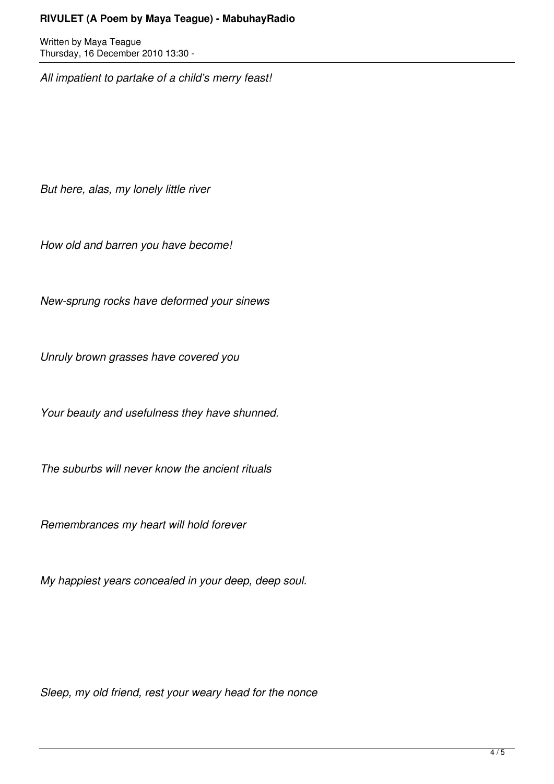Written by Maya Teague Thursday, 16 December 2010 13:30 -

*All impatient to partake of a child's merry feast!*

*But here, alas, my lonely little river*

*How old and barren you have become!*

*New-sprung rocks have deformed your sinews*

*Unruly brown grasses have covered you*

*Your beauty and usefulness they have shunned.*

*The suburbs will never know the ancient rituals*

*Remembrances my heart will hold forever*

*My happiest years concealed in your deep, deep soul.*

*Sleep, my old friend, rest your weary head for the nonce*